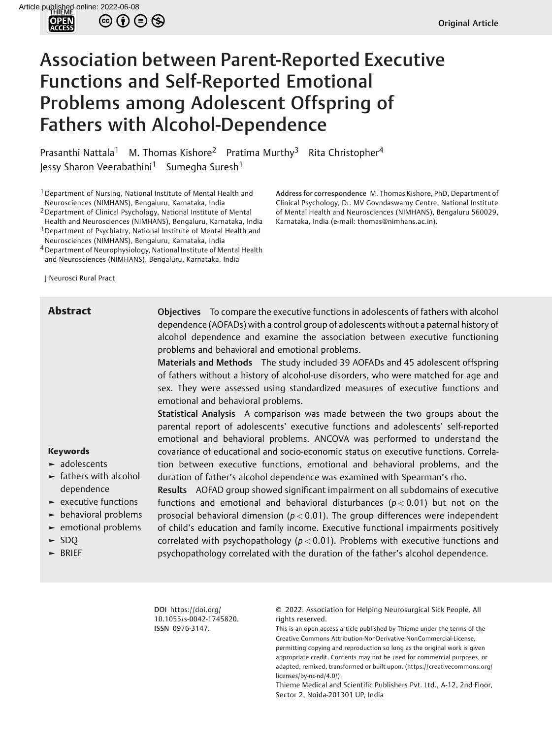

 $\circledcirc$   $\odot$   $\odot$   $\otimes$ 

# Association between Parent-Reported Executive Functions and Self-Reported Emotional Problems among Adolescent Offspring of Fathers with Alcohol-Dependence

Prasanthi Nattala<sup>1</sup> M. Thomas Kishore<sup>2</sup> Pratima Murthy<sup>3</sup> Rita Christopher<sup>4</sup> Jessy Sharon Veerabathini<sup>1</sup> Sumegha Suresh<sup>1</sup>

<sup>1</sup> Department of Nursing, National Institute of Mental Health and Neurosciences (NIMHANS), Bengaluru, Karnataka, India

2Department of Clinical Psychology, National Institute of Mental

Health and Neurosciences (NIMHANS), Bengaluru, Karnataka, India

3Department of Psychiatry, National Institute of Mental Health and

Neurosciences (NIMHANS), Bengaluru, Karnataka, India

4Department of Neurophysiology, National Institute of Mental Health and Neurosciences (NIMHANS), Bengaluru, Karnataka, India

J Neurosci Rural Pract

**Abstract** Objectives To compare the executive functions in adolescents of fathers with alcohol dependence (AOFADs) with a control group of adolescents without a paternal history of alcohol dependence and examine the association between executive functioning problems and behavioral and emotional problems.

Address for correspondence M. Thomas Kishore, PhD, Department of Clinical Psychology, Dr. MV Govndaswamy Centre, National Institute of Mental Health and Neurosciences (NIMHANS), Bengaluru 560029,

Karnataka, India (e-mail: [thomas@nimhans.ac.in](mailto:thomas@nimhans.ac.in)).

Materials and Methods The study included 39 AOFADs and 45 adolescent offspring of fathers without a history of alcohol-use disorders, who were matched for age and sex. They were assessed using standardized measures of executive functions and emotional and behavioral problems.

Statistical Analysis A comparison was made between the two groups about the parental report of adolescents' executive functions and adolescents' self-reported emotional and behavioral problems. ANCOVA was performed to understand the covariance of educational and socio-economic status on executive functions. Correlation between executive functions, emotional and behavioral problems, and the duration of father's alcohol dependence was examined with Spearman's rho.

► adolescents ► fathers with alcohol

**Keywords**

- dependence
- ► executive functions
- ► behavioral problems
- ► emotional problems
- ► SDQ
- ► BRIEF

Results AOFAD group showed significant impairment on all subdomains of executive functions and emotional and behavioral disturbances (*p <* 0.01) but not on the prosocial behavioral dimension (*p <* 0.01). The group differences were independent of child's education and family income. Executive functional impairments positively correlated with psychopathology (*p <* 0.01). Problems with executive functions and psychopathology correlated with the duration of the father's alcohol dependence.

DOI [https://doi.org/](https://doi.org/10.1055/s-0042-1745820) [10.1055/s-0042-1745820](https://doi.org/10.1055/s-0042-1745820). ISSN 0976-3147.

© 2022. Association for Helping Neurosurgical Sick People. All rights reserved.

This is an open access article published by Thieme under the terms of the Creative Commons Attribution-NonDerivative-NonCommercial-License, permitting copying and reproduction so long as the original work is given appropriate credit. Contents may not be used for commercial purposes, or adapted, remixed, transformed or built upon. (https://creativecommons.org/ licenses/by-nc-nd/4.0/)

Thieme Medical and Scientific Publishers Pvt. Ltd., A-12, 2nd Floor, Sector 2, Noida-201301 UP, India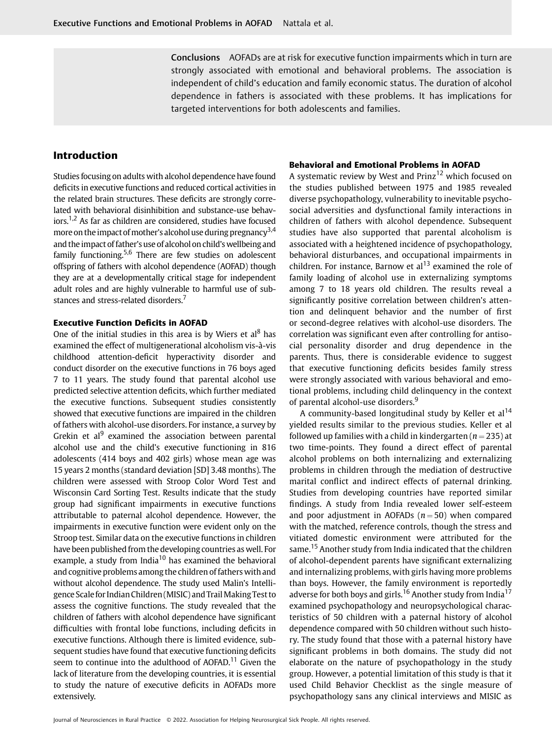Conclusions AOFADs are at risk for executive function impairments which in turn are strongly associated with emotional and behavioral problems. The association is independent of child's education and family economic status. The duration of alcohol dependence in fathers is associated with these problems. It has implications for targeted interventions for both adolescents and families.

# **Introduction**

Studies focusing on adults with alcohol dependence have found deficits in executive functions and reduced cortical activities in the related brain structures. These deficits are strongly correlated with behavioral disinhibition and substance-use behaviors.<sup>1,2</sup> As far as children are considered, studies have focused more on the impact of mother's alcohol use during pregnancy<sup>3,4</sup> and the impact of father's use of alcohol on child's wellbeing and family functioning.<sup>5,6</sup> There are few studies on adolescent offspring of fathers with alcohol dependence (AOFAD) though they are at a developmentally critical stage for independent adult roles and are highly vulnerable to harmful use of substances and stress-related disorders.<sup>7</sup>

#### **Executive Function Deficits in AOFAD**

One of the initial studies in this area is by Wiers et al<sup>8</sup> has examined the effect of multigenerational alcoholism vis-à-vis childhood attention-deficit hyperactivity disorder and conduct disorder on the executive functions in 76 boys aged 7 to 11 years. The study found that parental alcohol use predicted selective attention deficits, which further mediated the executive functions. Subsequent studies consistently showed that executive functions are impaired in the children of fathers with alcohol-use disorders. For instance, a survey by Grekin et al $<sup>9</sup>$  examined the association between parental</sup> alcohol use and the child's executive functioning in 816 adolescents (414 boys and 402 girls) whose mean age was 15 years 2 months (standard deviation [SD] 3.48 months). The children were assessed with Stroop Color Word Test and Wisconsin Card Sorting Test. Results indicate that the study group had significant impairments in executive functions attributable to paternal alcohol dependence. However, the impairments in executive function were evident only on the Stroop test. Similar data on the executive functions in children have been published from the developing countries as well. For example, a study from India<sup>10</sup> has examined the behavioral and cognitive problems among the children of fathers with and without alcohol dependence. The study used Malin's Intelligence Scale for Indian Children (MISIC) and Trail Making Test to assess the cognitive functions. The study revealed that the children of fathers with alcohol dependence have significant difficulties with frontal lobe functions, including deficits in executive functions. Although there is limited evidence, subsequent studies have found that executive functioning deficits seem to continue into the adulthood of AOFAD.<sup>11</sup> Given the lack of literature from the developing countries, it is essential to study the nature of executive deficits in AOFADs more extensively.

#### **Behavioral and Emotional Problems in AOFAD**

A systematic review by West and Prinz<sup>12</sup> which focused on the studies published between 1975 and 1985 revealed diverse psychopathology, vulnerability to inevitable psychosocial adversities and dysfunctional family interactions in children of fathers with alcohol dependence. Subsequent studies have also supported that parental alcoholism is associated with a heightened incidence of psychopathology, behavioral disturbances, and occupational impairments in children. For instance, Barnow et al $^{13}$  examined the role of family loading of alcohol use in externalizing symptoms among 7 to 18 years old children. The results reveal a significantly positive correlation between children's attention and delinquent behavior and the number of first or second-degree relatives with alcohol-use disorders. The correlation was significant even after controlling for antisocial personality disorder and drug dependence in the parents. Thus, there is considerable evidence to suggest that executive functioning deficits besides family stress were strongly associated with various behavioral and emotional problems, including child delinquency in the context of parental alcohol-use disorders.<sup>9</sup>

A community-based longitudinal study by Keller et  $al^{14}$ yielded results similar to the previous studies. Keller et al followed up families with a child in kindergarten  $(n = 235)$  at two time-points. They found a direct effect of parental alcohol problems on both internalizing and externalizing problems in children through the mediation of destructive marital conflict and indirect effects of paternal drinking. Studies from developing countries have reported similar findings. A study from India revealed lower self-esteem and poor adjustment in AOFADs  $(n = 50)$  when compared with the matched, reference controls, though the stress and vitiated domestic environment were attributed for the same.<sup>15</sup> Another study from India indicated that the children of alcohol-dependent parents have significant externalizing and internalizing problems, with girls having more problems than boys. However, the family environment is reportedly adverse for both boys and girls.<sup>16</sup> Another study from India<sup>17</sup> examined psychopathology and neuropsychological characteristics of 50 children with a paternal history of alcohol dependence compared with 50 children without such history. The study found that those with a paternal history have significant problems in both domains. The study did not elaborate on the nature of psychopathology in the study group. However, a potential limitation of this study is that it used Child Behavior Checklist as the single measure of psychopathology sans any clinical interviews and MISIC as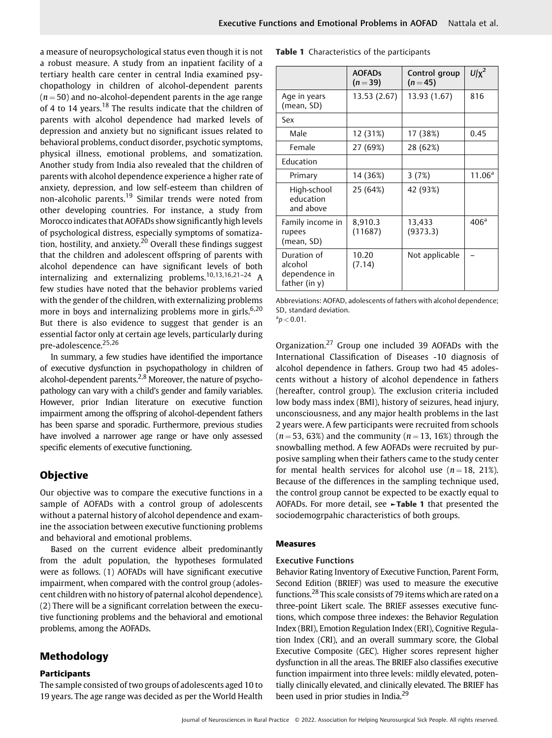a measure of neuropsychological status even though it is not a robust measure. A study from an inpatient facility of a tertiary health care center in central India examined psychopathology in children of alcohol-dependent parents  $(n = 50)$  and no-alcohol-dependent parents in the age range of 4 to 14 years.<sup>18</sup> The results indicate that the children of parents with alcohol dependence had marked levels of depression and anxiety but no significant issues related to behavioral problems, conduct disorder, psychotic symptoms, physical illness, emotional problems, and somatization. Another study from India also revealed that the children of parents with alcohol dependence experience a higher rate of anxiety, depression, and low self-esteem than children of non-alcoholic parents.<sup>19</sup> Similar trends were noted from other developing countries. For instance, a study from Morocco indicates that AOFADs show significantly high levels of psychological distress, especially symptoms of somatization, hostility, and anxiety.<sup>20</sup> Overall these findings suggest that the children and adolescent offspring of parents with alcohol dependence can have significant levels of both internalizing and externalizing problems.10,13,16,21–24 A few studies have noted that the behavior problems varied with the gender of the children, with externalizing problems more in boys and internalizing problems more in girls.<sup>6,20</sup> But there is also evidence to suggest that gender is an essential factor only at certain age levels, particularly during pre-adolescence. 25,26

In summary, a few studies have identified the importance of executive dysfunction in psychopathology in children of alcohol-dependent parents.<sup>2,8</sup> Moreover, the nature of psychopathology can vary with a child's gender and family variables. However, prior Indian literature on executive function impairment among the offspring of alcohol-dependent fathers has been sparse and sporadic. Furthermore, previous studies have involved a narrower age range or have only assessed specific elements of executive functioning.

# **Objective**

Our objective was to compare the executive functions in a sample of AOFADs with a control group of adolescents without a paternal history of alcohol dependence and examine the association between executive functioning problems and behavioral and emotional problems.

Based on the current evidence albeit predominantly from the adult population, the hypotheses formulated were as follows. (1) AOFADs will have significant executive impairment, when compared with the control group (adolescent children with no history of paternal alcohol dependence). (2) There will be a significant correlation between the executive functioning problems and the behavioral and emotional problems, among the AOFADs.

# **Methodology**

#### **Participants**

The sample consisted of two groups of adolescents aged 10 to 19 years. The age range was decided as per the World Health **Table 1** Characteristics of the participants

|                                                          | <b>AOFADs</b><br>$(n=39)$ | Control group<br>$(n = 45)$ | $U/x^2$            |
|----------------------------------------------------------|---------------------------|-----------------------------|--------------------|
| Age in years<br>(mean, SD)                               | 13.53 (2.67)              | 13.93 (1.67)                | 816                |
| Sex                                                      |                           |                             |                    |
| Male                                                     | 12 (31%)                  | 17 (38%)                    | 0.45               |
| Female                                                   | 27 (69%)                  | 28 (62%)                    |                    |
| Education                                                |                           |                             |                    |
| Primary                                                  | 14 (36%)                  | 3(7%)                       | 11.06 <sup>a</sup> |
| High-school<br>education<br>and above                    | 25 (64%)                  | 42 (93%)                    |                    |
| Family income in<br>rupees<br>(mean, SD)                 | 8,910.3<br>(11687)        | 13,433<br>(9373.3)          | 406 <sup>a</sup>   |
| Duration of<br>alcohol<br>dependence in<br>father (in y) | 10.20<br>(7.14)           | Not applicable              |                    |

Abbreviations: AOFAD, adolescents of fathers with alcohol dependence; SD, standard deviation.

 ${}^{a}p$   $<$  0.01.

Organization.<sup>27</sup> Group one included 39 AOFADs with the International Classification of Diseases -10 diagnosis of alcohol dependence in fathers. Group two had 45 adolescents without a history of alcohol dependence in fathers (hereafter, control group). The exclusion criteria included low body mass index (BMI), history of seizures, head injury, unconsciousness, and any major health problems in the last 2 years were. A few participants were recruited from schools  $(n=53, 63%)$  and the community  $(n=13, 16%)$  through the snowballing method. A few AOFADs were recruited by purposive sampling when their fathers came to the study center for mental health services for alcohol use  $(n=18, 21\%)$ . Because of the differences in the sampling technique used, the control group cannot be expected to be exactly equal to AOFADs. For more detail, see **►Table 1** that presented the sociodemogrpahic characteristics of both groups.

### **Measures**

#### Executive Functions

Behavior Rating Inventory of Executive Function, Parent Form, Second Edition (BRIEF) was used to measure the executive functions.<sup>28</sup> This scale consists of 79 items which are rated on a three-point Likert scale. The BRIEF assesses executive functions, which compose three indexes: the Behavior Regulation Index (BRI), Emotion Regulation Index (ERI), Cognitive Regulation Index (CRI), and an overall summary score, the Global Executive Composite (GEC). Higher scores represent higher dysfunction in all the areas. The BRIEF also classifies executive function impairment into three levels: mildly elevated, potentially clinically elevated, and clinically elevated. The BRIEF has been used in prior studies in India.<sup>29</sup>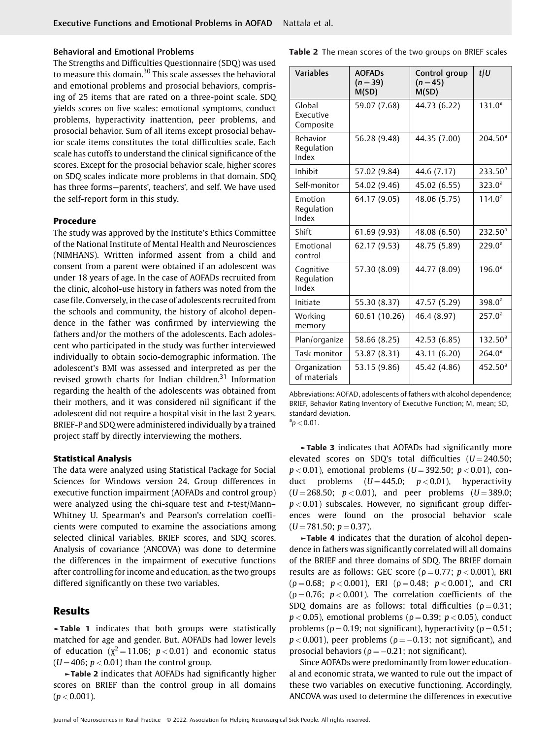#### Behavioral and Emotional Problems

The Strengths and Difficulties Questionnaire (SDQ) was used to measure this domain.<sup>30</sup> This scale assesses the behavioral and emotional problems and prosocial behaviors, comprising of 25 items that are rated on a three-point scale. SDQ yields scores on five scales: emotional symptoms, conduct problems, hyperactivity inattention, peer problems, and prosocial behavior. Sum of all items except prosocial behavior scale items constitutes the total difficulties scale. Each scale has cutoffs to understand the clinical significance of the scores. Except for the prosocial behavior scale, higher scores on SDQ scales indicate more problems in that domain. SDQ has three forms—parents', teachers', and self. We have used the self-report form in this study.

#### **Procedure**

The study was approved by the Institute's Ethics Committee of the National Institute of Mental Health and Neurosciences (NIMHANS). Written informed assent from a child and consent from a parent were obtained if an adolescent was under 18 years of age. In the case of AOFADs recruited from the clinic, alcohol-use history in fathers was noted from the case file. Conversely, in the case of adolescents recruited from the schools and community, the history of alcohol dependence in the father was confirmed by interviewing the fathers and/or the mothers of the adolescents. Each adolescent who participated in the study was further interviewed individually to obtain socio-demographic information. The adolescent's BMI was assessed and interpreted as per the revised growth charts for Indian children.<sup>31</sup> Information regarding the health of the adolescents was obtained from their mothers, and it was considered nil significant if the adolescent did not require a hospital visit in the last 2 years. BRIEF-P and SDQ were administered individually by a trained project staff by directly interviewing the mothers.

#### **Statistical Analysis**

The data were analyzed using Statistical Package for Social Sciences for Windows version 24. Group differences in executive function impairment (AOFADs and control group) were analyzed using the chi-square test and *t*-test/Mann– Whitney U. Spearman's and Pearson's correlation coefficients were computed to examine the associations among selected clinical variables, BRIEF scores, and SDQ scores. Analysis of covariance (ANCOVA) was done to determine the differences in the impairment of executive functions after controlling for income and education, as the two groups differed significantly on these two variables.

## **Results**

**►Table 1** indicates that both groups were statistically matched for age and gender. But, AOFADs had lower levels of education ( $\chi^2$  = 11.06;  $p$  < 0.01) and economic status  $(U = 406; p < 0.01)$  than the control group.

**►Table 2** indicates that AOFADs had significantly higher scores on BRIEF than the control group in all domains  $(p < 0.001)$ .

| <b>Variables</b>                 | <b>AOFADs</b><br>$(n=39)$<br>M(SD) | Control group<br>$(n = 45)$<br>M(SD) | $t$  U              |
|----------------------------------|------------------------------------|--------------------------------------|---------------------|
| Global<br>Executive<br>Composite | 59.07 (7.68)                       | 44.73 (6.22)                         | $131.0^a$           |
| Behavior<br>Regulation<br>Index  | 56.28 (9.48)                       | 44.35 (7.00)                         | 204.50 <sup>a</sup> |
| Inhibit                          | 57.02 (9.84)                       | 44.6 (7.17)                          | $233.50^a$          |
| Self-monitor                     | 54.02 (9.46)                       | 45.02 (6.55)                         | $323.0^a$           |
| Emotion<br>Regulation<br>Index   | 64.17 (9.05)                       | 48.06 (5.75)                         | $114.0^{\circ}$     |
| Shift                            | 61.69 (9.93)                       | 48.08 (6.50)                         | 232.50 <sup>a</sup> |
| Emotional<br>control             | 62.17 (9.53)                       | 48.75 (5.89)                         | $229.0^a$           |
| Cognitive<br>Regulation<br>Index | 57.30 (8.09)                       | 44.77 (8.09)                         | $196.0^{\circ}$     |
| Initiate                         | 55.30 (8.37)                       | 47.57 (5.29)                         | 398.0 <sup>a</sup>  |
| Working<br>memory                | 60.61 (10.26)                      | 46.4 (8.97)                          | $257.0^a$           |
| Plan/organize                    | 58.66 (8.25)                       | 42.53 (6.85)                         | $132.50^a$          |
| Task monitor                     | 53.87 (8.31)                       | 43.11 (6.20)                         | $264.0^{\circ}$     |
| Organization<br>of materials     | 53.15 (9.86)                       | 45.42 (4.86)                         | 452.50 <sup>a</sup> |

Abbreviations: AOFAD, adolescents of fathers with alcohol dependence; BRIEF, Behavior Rating Inventory of Executive Function; M, mean; SD, standard deviation.  ${}^{a}p$   $<$  0.01.

**►Table 3** indicates that AOFADs had significantly more elevated scores on SDQ's total difficulties  $(U = 240.50;$  $p$  < 0.01), emotional problems (*U* = 392.50;  $p$  < 0.01), conduct problems  $(U = 445.0; p < 0.01)$ , hyperactivity  $(U = 268.50; p < 0.01)$ , and peer problems  $(U = 389.0;$ *p <* 0.01) subscales. However, no significant group differences were found on the prosocial behavior scale  $(U = 781.50; p = 0.37).$ 

**►Table 4** indicates that the duration of alcohol dependence in fathers was significantly correlated will all domains of the BRIEF and three domains of SDQ. The BRIEF domain results are as follows: GEC score ( $p = 0.77$ ;  $p < 0.001$ ), BRI  $(p = 0.68; p < 0.001)$ , ERI  $(p = 0.48; p < 0.001)$ , and CRI  $(p=0.76; p<0.001)$ . The correlation coefficients of the SDQ domains are as follows: total difficulties ( $\rho = 0.31$ ;  $p$  < 0.05), emotional problems ( $\rho$  = 0.39;  $p$  < 0.05), conduct problems ( $\rho = 0.19$ ; not significant), hyperactivity ( $\rho = 0.51$ ;  $p < 0.001$ ), peer problems ( $\rho = -0.13$ ; not significant), and prosocial behaviors ( $\rho = -0.21$ ; not significant).

Since AOFADs were predominantly from lower educational and economic strata, we wanted to rule out the impact of these two variables on executive functioning. Accordingly, ANCOVA was used to determine the differences in executive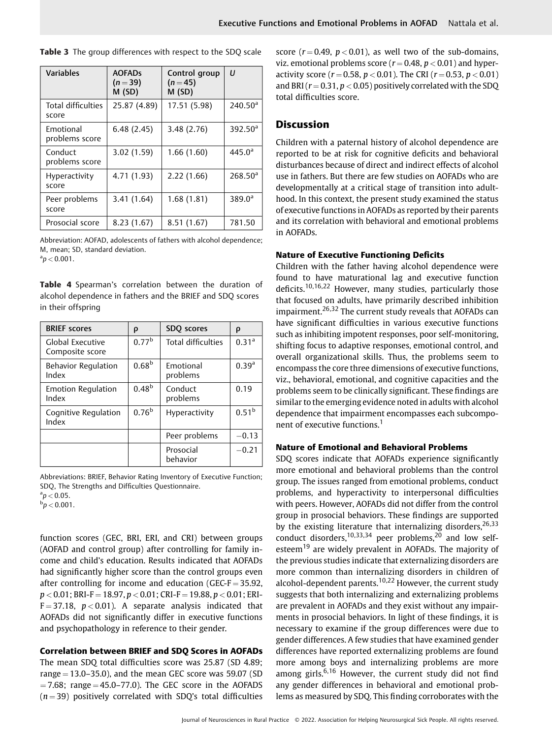| <b>Variables</b>                   | <b>AOFADS</b><br>$(n=39)$<br>M(SD) | Control group<br>$(n=45)$<br>M(SD) | $\mathfrak{U}$   |
|------------------------------------|------------------------------------|------------------------------------|------------------|
| <b>Total difficulties</b><br>score | 25.87 (4.89)                       | 17.51 (5.98)                       | $240.50^{\circ}$ |
| Emotional<br>problems score        | 6.48(2.45)                         | 3.48(2.76)                         | $392.50^a$       |
| Conduct<br>problems score          | 3.02 (1.59)                        | 1.66(1.60)                         | $445.0^{\circ}$  |
| <b>Hyperactivity</b><br>score      | 4.71 (1.93)                        | 2.22(1.66)                         | $268.50^{\circ}$ |
| Peer problems<br>score             | 3.41(1.64)                         | 1.68(1.81)                         | $389.0^a$        |
| Prosocial score                    | 8.23(1.67)                         | 8.51(1.67)                         | 781.50           |

**Table 3** The group differences with respect to the SDQ scale

Abbreviation: AOFAD, adolescents of fathers with alcohol dependence; M, mean; SD, standard deviation.  $\degree p < 0.001$ .

**Table 4** Spearman's correlation between the duration of alcohol dependence in fathers and the BRIEF and SDQ scores in their offspring

| <b>BRIEF scores</b>                 | ρ                 | SDO scores                | ρ                 |
|-------------------------------------|-------------------|---------------------------|-------------------|
| Global Executive<br>Composite score | 0.77 <sup>b</sup> | <b>Total difficulties</b> | 0.31 <sup>a</sup> |
| <b>Behavior Regulation</b><br>Index | 0.68 <sup>b</sup> | Emotional<br>problems     | 0.39 <sup>a</sup> |
| <b>Emotion Regulation</b><br>Index  | $0.48^{b}$        | Conduct<br>problems       | 0.19              |
| Cognitive Regulation<br>Index       | 0.76 <sup>b</sup> | Hyperactivity             | $0.51^{b}$        |
|                                     |                   | Peer problems             | $-0.13$           |
|                                     |                   | Prosocial<br>behavior     | $-0.21$           |

Abbreviations: BRIEF, Behavior Rating Inventory of Executive Function; SDQ, The Strengths and Difficulties Questionnaire.  $a^a p < 0.05$ .

 $\rm{^b}p < 0.001$ .

function scores (GEC, BRI, ERI, and CRI) between groups (AOFAD and control group) after controlling for family income and child's education. Results indicated that AOFADs had significantly higher score than the control groups even after controlling for income and education (GEC- $F = 35.92$ , *p <* 0.01; BRI-F ¼ 18.97, *p <* 0.01; CRI-F ¼ 19.88, *p <* 0.01; ERI- $F = 37.18$ ,  $p < 0.01$ ). A separate analysis indicated that AOFADs did not significantly differ in executive functions and psychopathology in reference to their gender.

#### **Correlation between BRIEF and SDQ Scores in AOFADs**

The mean SDQ total difficulties score was 25.87 (SD 4.89; range  $=$  13.0–35.0), and the mean GEC score was 59.07 (SD  $= 7.68$ ; range  $= 45.0 - 77.0$ ). The GEC score in the AOFADS  $(n=39)$  positively correlated with SDQ's total difficulties score  $(r = 0.49, p < 0.01)$ , as well two of the sub-domains, viz. emotional problems score  $(r = 0.48, p < 0.01)$  and hyperactivity score  $(r = 0.58, p < 0.01)$ . The CRI  $(r = 0.53, p < 0.01)$ and BRI  $(r = 0.31, p < 0.05)$  positively correlated with the SDQ total difficulties score.

# **Discussion**

Children with a paternal history of alcohol dependence are reported to be at risk for cognitive deficits and behavioral disturbances because of direct and indirect effects of alcohol use in fathers. But there are few studies on AOFADs who are developmentally at a critical stage of transition into adulthood. In this context, the present study examined the status of executive functions in AOFADs as reported by their parents and its correlation with behavioral and emotional problems in AOFADs.

#### **Nature of Executive Functioning Deficits**

Children with the father having alcohol dependence were found to have maturational lag and executive function deficits.10,16,22 However, many studies, particularly those that focused on adults, have primarily described inhibition impairment.26,32 The current study reveals that AOFADs can have significant difficulties in various executive functions such as inhibiting impotent responses, poor self-monitoring, shifting focus to adaptive responses, emotional control, and overall organizational skills. Thus, the problems seem to encompass the core three dimensions of executive functions, viz., behavioral, emotional, and cognitive capacities and the problems seem to be clinically significant. These findings are similar to the emerging evidence noted in adults with alcohol dependence that impairment encompasses each subcomponent of executive functions.<sup>1</sup>

#### **Nature of Emotional and Behavioral Problems**

SDQ scores indicate that AOFADs experience significantly more emotional and behavioral problems than the control group. The issues ranged from emotional problems, conduct problems, and hyperactivity to interpersonal difficulties with peers. However, AOFADs did not differ from the control group in prosocial behaviors. These findings are supported by the existing literature that internalizing disorders,  $26,33$ conduct disorders,<sup>10,33,34</sup> peer problems,<sup>20</sup> and low selfesteem<sup>19</sup> are widely prevalent in AOFADs. The majority of the previous studies indicate that externalizing disorders are more common than internalizing disorders in children of alcohol-dependent parents.<sup>10,22</sup> However, the current study suggests that both internalizing and externalizing problems are prevalent in AOFADs and they exist without any impairments in prosocial behaviors. In light of these findings, it is necessary to examine if the group differences were due to gender differences. A few studies that have examined gender differences have reported externalizing problems are found more among boys and internalizing problems are more among girls.<sup>6,16</sup> However, the current study did not find any gender differences in behavioral and emotional problems as measured by SDQ. This finding corroborates with the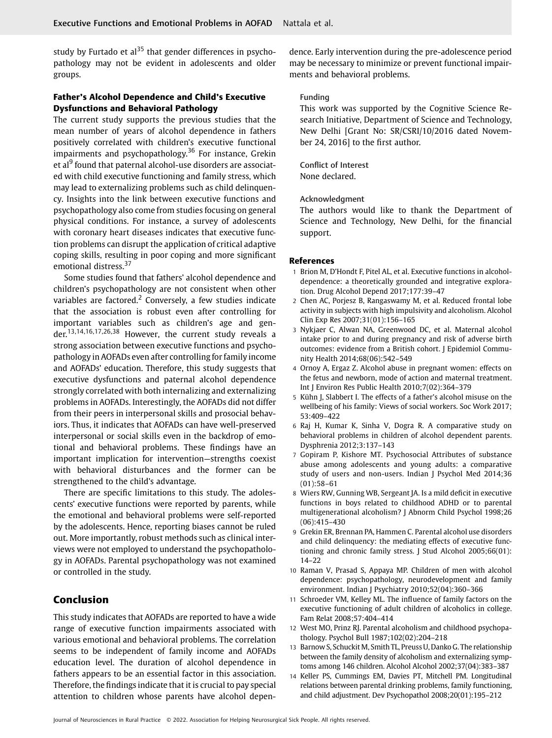study by Furtado et  $al^{35}$  that gender differences in psychopathology may not be evident in adolescents and older groups.

# **Father's Alcohol Dependence and Child's Executive Dysfunctions and Behavioral Pathology**

The current study supports the previous studies that the mean number of years of alcohol dependence in fathers positively correlated with children's executive functional impairments and psychopathology.<sup>36</sup> For instance, Grekin et al<sup>9</sup> found that paternal alcohol-use disorders are associated with child executive functioning and family stress, which may lead to externalizing problems such as child delinquency. Insights into the link between executive functions and psychopathology also come from studies focusing on general physical conditions. For instance, a survey of adolescents with coronary heart diseases indicates that executive function problems can disrupt the application of critical adaptive coping skills, resulting in poor coping and more significant emotional distress.<sup>37</sup>

Some studies found that fathers' alcohol dependence and children's psychopathology are not consistent when other variables are factored.<sup>2</sup> Conversely, a few studies indicate that the association is robust even after controlling for important variables such as children's age and gender. 13,14,16,17,26,38 However, the current study reveals a strong association between executive functions and psychopathology in AOFADs even after controlling for family income and AOFADs' education. Therefore, this study suggests that executive dysfunctions and paternal alcohol dependence strongly correlated with both internalizing and externalizing problems in AOFADs. Interestingly, the AOFADs did not differ from their peers in interpersonal skills and prosocial behaviors. Thus, it indicates that AOFADs can have well-preserved interpersonal or social skills even in the backdrop of emotional and behavioral problems. These findings have an important implication for intervention—strengths coexist with behavioral disturbances and the former can be strengthened to the child's advantage.

There are specific limitations to this study. The adolescents' executive functions were reported by parents, while the emotional and behavioral problems were self-reported by the adolescents. Hence, reporting biases cannot be ruled out. More importantly, robust methods such as clinical interviews were not employed to understand the psychopathology in AOFADs. Parental psychopathology was not examined or controlled in the study.

# **Conclusion**

This study indicates that AOFADs are reported to have a wide range of executive function impairments associated with various emotional and behavioral problems. The correlation seems to be independent of family income and AOFADs education level. The duration of alcohol dependence in fathers appears to be an essential factor in this association. Therefore, the findings indicate that it is crucial to pay special attention to children whose parents have alcohol dependence. Early intervention during the pre-adolescence period may be necessary to minimize or prevent functional impairments and behavioral problems.

#### Funding

This work was supported by the Cognitive Science Research Initiative, Department of Science and Technology, New Delhi [Grant No: SR/CSRI/10/2016 dated November 24, 2016] to the first author.

Conflict of Interest None declared.

#### Acknowledgment

The authors would like to thank the Department of Science and Technology, New Delhi, for the financial support.

#### **References**

- 1 Brion M, D'Hondt F, Pitel AL, et al. Executive functions in alcoholdependence: a theoretically grounded and integrative exploration. Drug Alcohol Depend 2017;177:39–47
- 2 Chen AC, Porjesz B, Rangaswamy M, et al. Reduced frontal lobe activity in subjects with high impulsivity and alcoholism. Alcohol Clin Exp Res 2007;31(01):156–165
- 3 Nykjaer C, Alwan NA, Greenwood DC, et al. Maternal alcohol intake prior to and during pregnancy and risk of adverse birth outcomes: evidence from a British cohort. J Epidemiol Community Health 2014;68(06):542–549
- 4 Ornoy A, Ergaz Z. Alcohol abuse in pregnant women: effects on the fetus and newborn, mode of action and maternal treatment. Int J Environ Res Public Health 2010;7(02):364–379
- 5 Kühn J, Slabbert I. The effects of a father's alcohol misuse on the wellbeing of his family: Views of social workers. Soc Work 2017; 53:409–422
- 6 Raj H, Kumar K, Sinha V, Dogra R. A comparative study on behavioral problems in children of alcohol dependent parents. Dysphrenia 2012;3:137–143
- 7 Gopiram P, Kishore MT. Psychosocial Attributes of substance abuse among adolescents and young adults: a comparative study of users and non-users. Indian J Psychol Med 2014;36 (01):58–61
- 8 Wiers RW, Gunning WB, Sergeant JA. Is a mild deficit in executive functions in boys related to childhood ADHD or to parental multigenerational alcoholism? J Abnorm Child Psychol 1998;26 (06):415–430
- 9 Grekin ER, Brennan PA, Hammen C. Parental alcohol use disorders and child delinquency: the mediating effects of executive functioning and chronic family stress. J Stud Alcohol 2005;66(01): 14–22
- 10 Raman V, Prasad S, Appaya MP. Children of men with alcohol dependence: psychopathology, neurodevelopment and family environment. Indian J Psychiatry 2010;52(04):360–366
- 11 Schroeder VM, Kelley ML. The influence of family factors on the executive functioning of adult children of alcoholics in college. Fam Relat 2008;57:404–414
- 12 West MO, Prinz RJ. Parental alcoholism and childhood psychopathology. Psychol Bull 1987;102(02):204–218
- 13 Barnow S, Schuckit M, Smith TL, Preuss U, Danko G. The relationship between the family density of alcoholism and externalizing symptoms among 146 children. Alcohol Alcohol 2002;37(04):383–387
- 14 Keller PS, Cummings EM, Davies PT, Mitchell PM. Longitudinal relations between parental drinking problems, family functioning, and child adjustment. Dev Psychopathol 2008;20(01):195–212